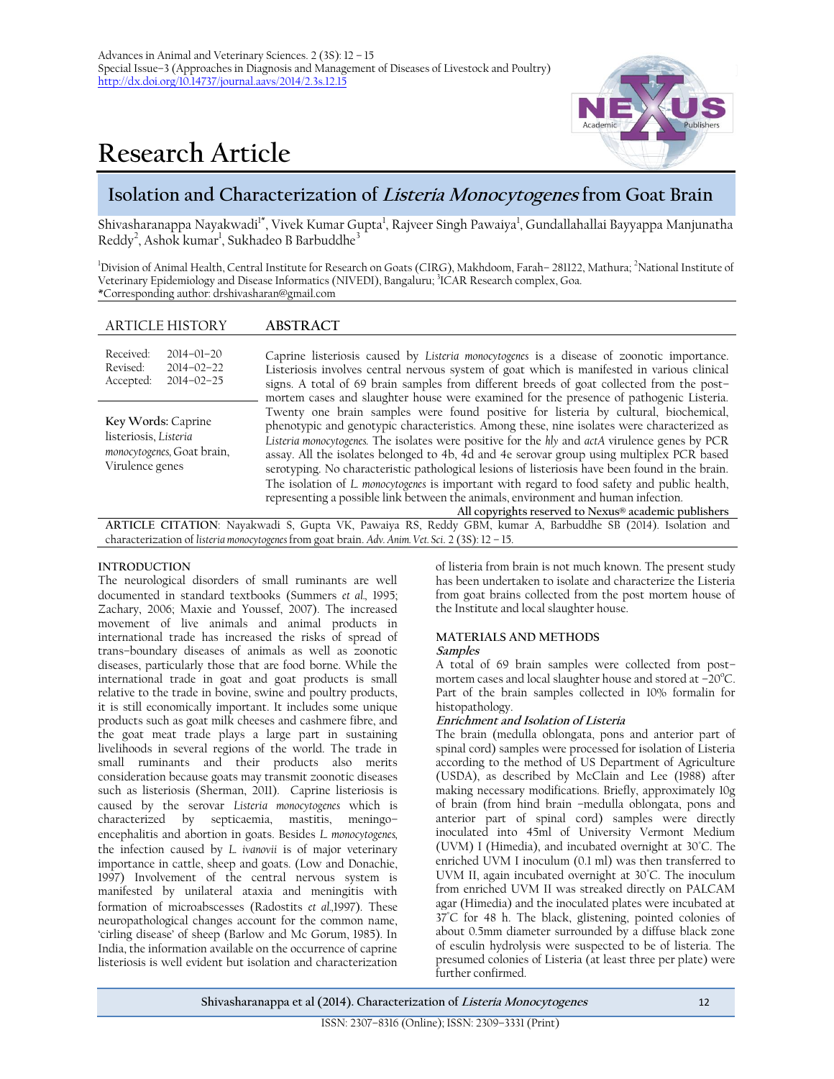

# **Research Article**

# **Isolation and Characterization of Listeria Monocytogenes from Goat Brain**

Shivasharanappa Nayakwadi<sup>1\*</sup>, Vivek Kumar Gupta<sup>1</sup>, Rajveer Singh Pawaiya<sup>1</sup>, Gundallahallai Bayyappa Manjunatha Reddy<sup>2</sup>, Ashok kumar<sup>1</sup>, Sukhadeo B Barbuddhe<sup>3</sup>

<sup>1</sup>Division of Animal Health, Central Institute for Research on Goats (CIRG), Makhdoom, Farah–281122, Mathura; <sup>2</sup>National Institute of Veterinary Epidemiology and Disease Informatics (NIVEDI), Bangaluru; 3 ICAR Research complex, Goa. \*Corresponding author: drshivasharan@gmail.com

# ARTICLE HISTORY **ABSTRACT**

| Received:<br>Revised:<br>Accepted:                                                           | $2014 - 01 - 20$<br>$2014 - 02 - 22$<br>$2014 - 02 - 25$ | Caprine listeriosis caused by Listeria monocytogenes is a disease of zoonotic importance.<br>Listeriosis involves central nervous system of goat which is manifested in various clinical<br>signs. A total of 69 brain samples from different breeds of goat collected from the post-<br>mortem cases and slaughter house were examined for the presence of pathogenic Listeria.                                                                                                                                                                                                                                                                                                                                                   |
|----------------------------------------------------------------------------------------------|----------------------------------------------------------|------------------------------------------------------------------------------------------------------------------------------------------------------------------------------------------------------------------------------------------------------------------------------------------------------------------------------------------------------------------------------------------------------------------------------------------------------------------------------------------------------------------------------------------------------------------------------------------------------------------------------------------------------------------------------------------------------------------------------------|
| Key Words: Caprine<br>listeriosis, Listeria<br>monocytogenes, Goat brain,<br>Virulence genes |                                                          | Twenty one brain samples were found positive for listeria by cultural, biochemical,<br>phenotypic and genotypic characteristics. Among these, nine isolates were characterized as<br>Listeria monocytogenes. The isolates were positive for the hly and actA virulence genes by PCR<br>assay. All the isolates belonged to 4b, 4d and 4e serovar group using multiplex PCR based<br>serotyping. No characteristic pathological lesions of listeriosis have been found in the brain.<br>The isolation of L. monocytogenes is important with regard to food safety and public health,<br>representing a possible link between the animals, environment and human infection.<br>All copyrights reserved to Nexus® academic publishers |
|                                                                                              | $\sim$ $\sim$ $\sim$ $\sim$ $\sim$ $\sim$ $\sim$ $\sim$  | $\mathbf{r}$<br>$\mathbf{1}$ $\mathbf{1}$ $\mathbf{1}$<br>$\frac{1}{2}$ $\frac{1}{2}$ $\frac{1}{2}$ $\frac{1}{2}$ $\frac{1}{2}$ $\frac{1}{2}$ $\frac{1}{2}$ $\frac{1}{2}$ $\frac{1}{2}$ $\frac{1}{2}$ $\frac{1}{2}$ $\frac{1}{2}$ $\frac{1}{2}$ $\frac{1}{2}$ $\frac{1}{2}$ $\frac{1}{2}$ $\frac{1}{2}$ $\frac{1}{2}$ $\frac{1}{2}$ $\frac{1}{2}$ $\frac{1}{2}$ $\frac{1}{2}$                                                                                                                                                                                                                                                                                                                                                      |

**ARTICLE CITATION**: Nayakwadi S, Gupta VK, Pawaiya RS, Reddy GBM, kumar A, Barbuddhe SB (2014). Isolation and characterization of *listeria monocytogenes* from goat brain. *Adv. Anim. Vet. Sci*. 2 (3S): 12 – 15.

# **INTRODUCTION**

The neurological disorders of small ruminants are well documented in standard textbooks (Summers *et al.,* 1995; Zachary, 2006; Maxie and Youssef, 2007). The increased movement of live animals and animal products in international trade has increased the risks of spread of trans–boundary diseases of animals as well as zoonotic diseases, particularly those that are food borne. While the international trade in goat and goat products is small relative to the trade in bovine, swine and poultry products, it is still economically important. It includes some unique products such as goat milk cheeses and cashmere fibre, and the goat meat trade plays a large part in sustaining livelihoods in several regions of the world. The trade in small ruminants and their products also merits consideration because goats may transmit zoonotic diseases such as listeriosis (Sherman, 2011). Caprine listeriosis is caused by the serovar *Listeria monocytogenes* which is characterized by septicaemia, mastitis, meningo– encephalitis and abortion in goats. Besides *L. monocytogenes,* the infection caused by *L. ivanovii* is of major veterinary importance in cattle, sheep and goats. (Low and Donachie, 1997) Involvement of the central nervous system is manifested by unilateral ataxia and meningitis with formation of microabscesses (Radostits *et al.,*1997). These neuropathological changes account for the common name, 'cirling disease' of sheep (Barlow and Mc Gorum, 1985). In India, the information available on the occurrence of caprine listeriosis is well evident but isolation and characterization

of listeria from brain is not much known. The present study has been undertaken to isolate and characterize the Listeria from goat brains collected from the post mortem house of the Institute and local slaughter house.

# **MATERIALS AND METHODS**

#### **Samples**

A total of 69 brain samples were collected from post– mortem cases and local slaughter house and stored at  $-20^{\circ}$ C. Part of the brain samples collected in 10% formalin for histopathology.

# **Enrichment and Isolation of Listeria**

The brain (medulla oblongata, pons and anterior part of spinal cord) samples were processed for isolation of Listeria according to the method of US Department of Agriculture (USDA), as described by McClain and Lee (1988) after making necessary modifications. Briefly, approximately 10g of brain (from hind brain –medulla oblongata, pons and anterior part of spinal cord) samples were directly inoculated into 45ml of University Vermont Medium (UVM) I (Himedia), and incubated overnight at 30◦C. The enriched UVM I inoculum (0.1 ml) was then transferred to UVM II, again incubated overnight at 30◦C. The inoculum from enriched UVM II was streaked directly on PALCAM agar (Himedia) and the inoculated plates were incubated at 37°C for 48 h. The black, glistening, pointed colonies of about 0.5mm diameter surrounded by a diffuse black zone of esculin hydrolysis were suspected to be of listeria. The presumed colonies of Listeria (at least three per plate) were further confirmed.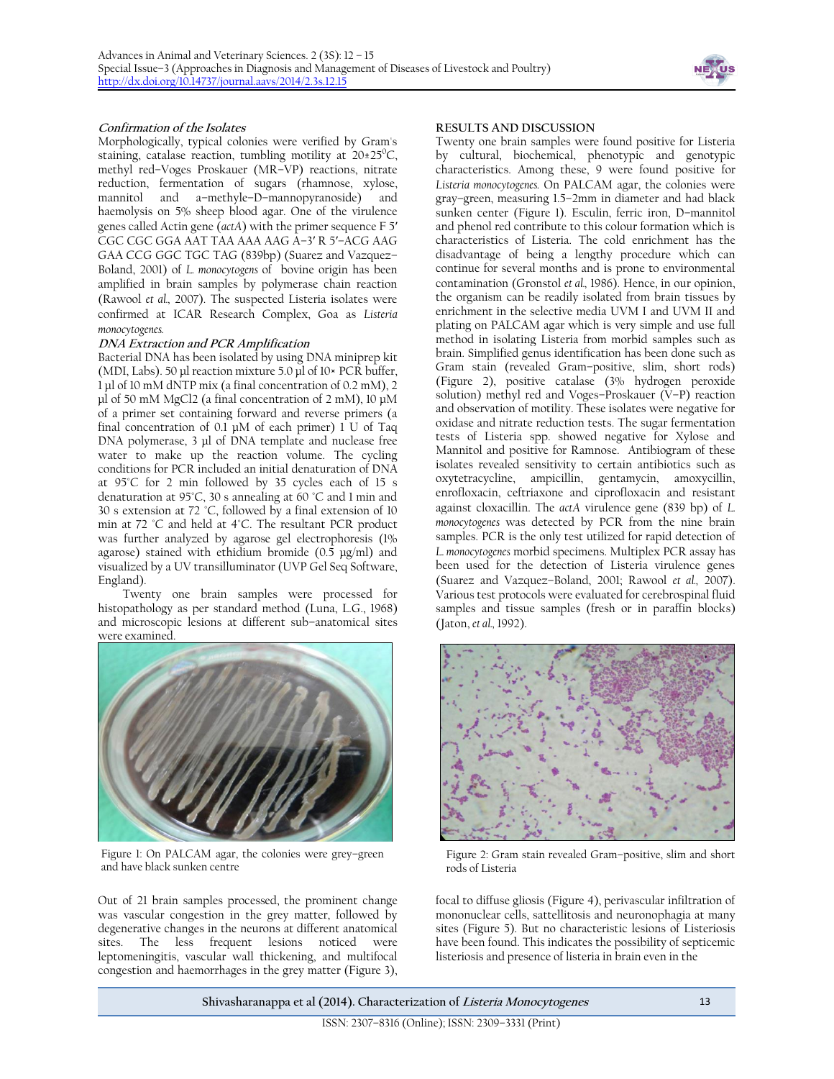

#### **Confirmation of the Isolates**

Morphologically, typical colonies were verified by Gram's staining, catalase reaction, tumbling motility at  $20\pm25^{\circ}$ C, methyl red–Voges Proskauer (MR–VP) reactions, nitrate reduction, fermentation of sugars (rhamnose, xylose, mannitol and a–methyle–D–mannopyranoside) and haemolysis on 5% sheep blood agar. One of the virulence genes called Actin gene (*actA*) with the primer sequence F 5′ CGC CGC GGA AAT TAA AAA AAG A–3′ R 5′–ACG AAG GAA CCG GGC TGC TAG (839bp) (Suarez and Vazquez– Boland, 2001) of *L. monocytogens* of bovine origin has been amplified in brain samples by polymerase chain reaction (Rawool *et al.,* 2007). The suspected Listeria isolates were confirmed at ICAR Research Complex, Goa as *Listeria monocytogenes.*

#### **DNA Extraction and PCR Amplification**

Bacterial DNA has been isolated by using DNA miniprep kit (MDI, Labs). 50 μl reaction mixture 5.0 μl of 10× PCR buffer, 1 μl of 10 mM dNTP mix (a final concentration of 0.2 mM), 2 μl of 50 mM MgCl2 (a final concentration of 2 mM), 10 μM of a primer set containing forward and reverse primers (a final concentration of 0.1 μM of each primer) 1 U of Taq DNA polymerase, 3 μl of DNA template and nuclease free water to make up the reaction volume. The cycling conditions for PCR included an initial denaturation of DNA at 95°C for 2 min followed by 35 cycles each of 15 s denaturation at 95°C, 30 s annealing at 60 °C and 1 min and 30 s extension at 72 °C, followed by a final extension of 10 min at 72 °C and held at 4°C. The resultant PCR product was further analyzed by agarose gel electrophoresis (1% agarose) stained with ethidium bromide (0.5 μg/ml) and visualized by a UV transilluminator (UVP Gel Seq Software, England).

Twenty one brain samples were processed for histopathology as per standard method (Luna, L.G., 1968) and microscopic lesions at different sub–anatomical sites were examined.



Figure 1: On PALCAM agar, the colonies were grey–green and have black sunken centre

Out of 21 brain samples processed, the prominent change was vascular congestion in the grey matter, followed by degenerative changes in the neurons at different anatomical sites. The less frequent lesions noticed were leptomeningitis, vascular wall thickening, and multifocal congestion and haemorrhages in the grey matter (Figure 3),

#### **RESULTS AND DISCUSSION**

Twenty one brain samples were found positive for Listeria by cultural, biochemical, phenotypic and genotypic characteristics. Among these, 9 were found positive for *Listeria monocytogenes.* On PALCAM agar, the colonies were gray–green, measuring 1.5–2mm in diameter and had black sunken center (Figure 1). Esculin, ferric iron, D–mannitol and phenol red contribute to this colour formation which is characteristics of Listeria. The cold enrichment has the disadvantage of being a lengthy procedure which can continue for several months and is prone to environmental contamination (Gronstol *et al.,* 1986). Hence, in our opinion, the organism can be readily isolated from brain tissues by enrichment in the selective media UVM I and UVM II and plating on PALCAM agar which is very simple and use full method in isolating Listeria from morbid samples such as brain. Simplified genus identification has been done such as Gram stain (revealed Gram–positive, slim, short rods) (Figure 2), positive catalase (3% hydrogen peroxide solution) methyl red and Voges–Proskauer (V–P) reaction and observation of motility. These isolates were negative for oxidase and nitrate reduction tests. The sugar fermentation tests of Listeria spp. showed negative for Xylose and Mannitol and positive for Ramnose. Antibiogram of these isolates revealed sensitivity to certain antibiotics such as oxytetracycline, ampicillin, gentamycin, amoxycillin, enrofloxacin, ceftriaxone and ciprofloxacin and resistant against cloxacillin. The *actA* virulence gene (839 bp) of *L. monocytogenes* was detected by PCR from the nine brain samples. PCR is the only test utilized for rapid detection of *L. monocytogenes* morbid specimens. Multiplex PCR assay has been used for the detection of Listeria virulence genes (Suarez and Vazquez–Boland, 2001; Rawool *et al.,* 2007). Various test protocols were evaluated for cerebrospinal fluid samples and tissue samples (fresh or in paraffin blocks) (Jaton, *et al.,* 1992).



Figure 2: Gram stain revealed Gram–positive, slim and short rods of Listeria

focal to diffuse gliosis (Figure 4), perivascular infiltration of mononuclear cells, sattellitosis and neuronophagia at many sites (Figure 5). But no characteristic lesions of Listeriosis have been found. This indicates the possibility of septicemic listeriosis and presence of listeria in brain even in the

**Shivasharanappa et al (2014). Characterization of Listeria Monocytogenes** 13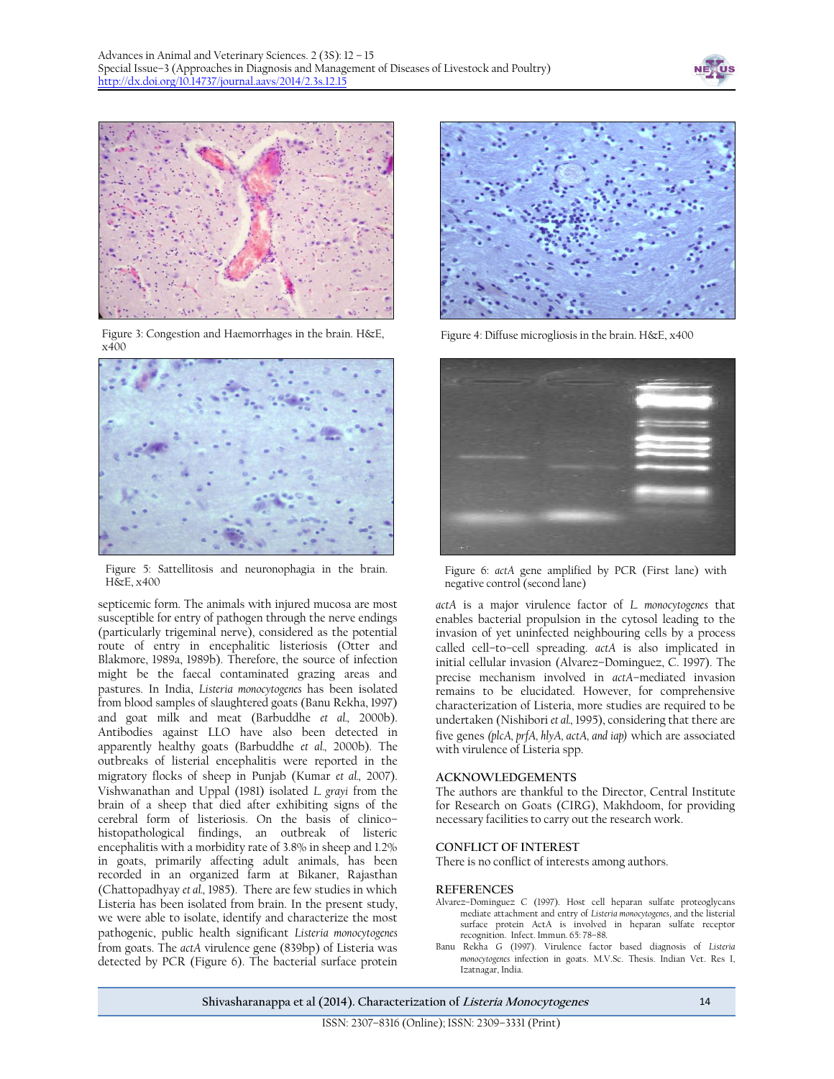



Figure 3: Congestion and Haemorrhages in the brain. H&E, x400



Figure 5: Sattellitosis and neuronophagia in the brain. H&E, x400

septicemic form. The animals with injured mucosa are most susceptible for entry of pathogen through the nerve endings (particularly trigeminal nerve), considered as the potential route of entry in encephalitic listeriosis (Otter and Blakmore, 1989a, 1989b). Therefore, the source of infection might be the faecal contaminated grazing areas and pastures. In India, *Listeria monocytogenes* has been isolated from blood samples of slaughtered goats (Banu Rekha, 1997) and goat milk and meat (Barbuddhe *et al.,* 2000b). Antibodies against LLO have also been detected in apparently healthy goats (Barbuddhe *et al.,* 2000b). The outbreaks of listerial encephalitis were reported in the migratory flocks of sheep in Punjab (Kumar *et al.,* 2007). Vishwanathan and Uppal (1981) isolated *L. grayi* from the brain of a sheep that died after exhibiting signs of the cerebral form of listeriosis. On the basis of clinico– histopathological findings, an outbreak of listeric encephalitis with a morbidity rate of 3.8% in sheep and 1.2% in goats, primarily affecting adult animals, has been recorded in an organized farm at Bikaner, Rajasthan (Chattopadhyay *et al.,* 1985). There are few studies in which Listeria has been isolated from brain. In the present study, we were able to isolate, identify and characterize the most pathogenic, public health significant *Listeria monocytogenes*  from goats. The *actA* virulence gene (839bp) of Listeria was detected by PCR (Figure 6). The bacterial surface protein



Figure 4: Diffuse microgliosis in the brain. H&E, x400



Figure 6: *actA* gene amplified by PCR (First lane) with negative control (second lane)

*actA* is a major virulence factor of *L. monocytogenes* that enables bacterial propulsion in the cytosol leading to the invasion of yet uninfected neighbouring cells by a process called cell–to–cell spreading. *actA* is also implicated in initial cellular invasion (Alvarez–Dominguez, C. 1997). The precise mechanism involved in *actA*–mediated invasion remains to be elucidated. However, for comprehensive characterization of Listeria, more studies are required to be undertaken (Nishibori *et al.,* 1995), considering that there are five genes *(plcA, prfA, hlyA, actA, and iap)* which are associated with virulence of Listeria spp.

#### **ACKNOWLEDGEMENTS**

The authors are thankful to the Director, Central Institute for Research on Goats (CIRG), Makhdoom, for providing necessary facilities to carry out the research work.

#### **CONFLICT OF INTEREST**

There is no conflict of interests among authors.

#### **REFERENCES**

- Alvarez–Dominguez C (1997). Host cell heparan sulfate proteoglycans mediate attachment and entry of *Listeria monocytogenes*, and the listerial surface protein ActA is involved in heparan sulfate receptor recognition. Infect. Immun. 65: 78–88.
- Banu Rekha G (1997). Virulence factor based diagnosis of *Listeria monocytogenes* infection in goats. M.V.Sc. Thesis. Indian Vet. Res I, Izatnagar, India.

**Shivasharanappa et al (2014). Characterization of Listeria Monocytogenes** 14